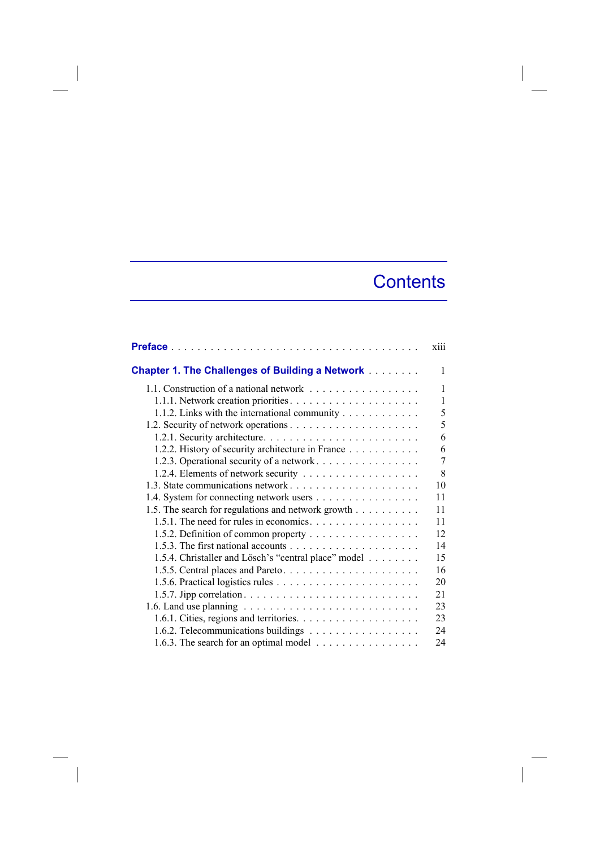## **Contents**

|                                                                                         | xiii |
|-----------------------------------------------------------------------------------------|------|
| <b>Chapter 1. The Challenges of Building a Network </b>                                 | 1    |
| 1.1. Construction of a national network                                                 | 1    |
|                                                                                         | 1    |
| 1.1.2. Links with the international community                                           | 5    |
|                                                                                         | 5    |
|                                                                                         | 6    |
| 1.2.2. History of security architecture in France                                       | 6    |
| 1.2.3. Operational security of a network.                                               | 7    |
|                                                                                         | 8    |
|                                                                                         | 10   |
| 1.4. System for connecting network users                                                | 11   |
| 1.5. The search for regulations and network growth                                      | 11   |
| 1.5.1. The need for rules in economics.                                                 | 11   |
| 1.5.2. Definition of common property                                                    | 12   |
|                                                                                         | 14   |
| 1.5.4. Christaller and Lösch's "central place" model                                    | 15   |
| 1.5.5. Central places and Pareto                                                        | 16   |
|                                                                                         | 20   |
|                                                                                         | 21   |
| 1.6. Land use planning $\ldots \ldots \ldots \ldots \ldots \ldots \ldots \ldots \ldots$ | 23   |
|                                                                                         | 23   |
| 1.6.2. Telecommunications buildings                                                     | 24   |
| 1.6.3. The search for an optimal model                                                  | 24   |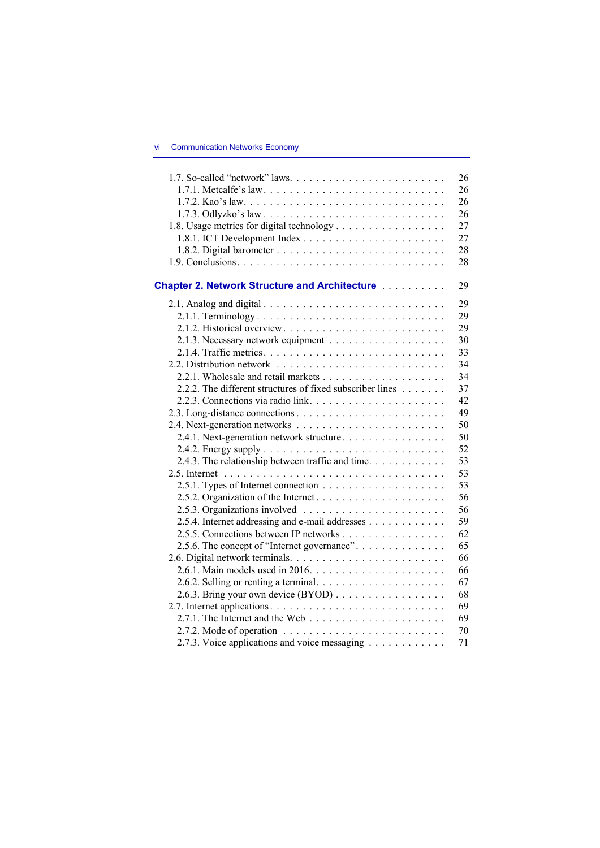## vi Communication Networks Economy

 $\overline{\phantom{a}}$ 

|                                                           | 26 |
|-----------------------------------------------------------|----|
|                                                           | 26 |
|                                                           | 26 |
|                                                           | 26 |
| 1.8. Usage metrics for digital technology                 | 27 |
|                                                           | 27 |
|                                                           | 28 |
|                                                           | 28 |
| <b>Chapter 2. Network Structure and Architecture </b>     | 29 |
|                                                           | 29 |
|                                                           | 29 |
|                                                           | 29 |
|                                                           | 30 |
|                                                           | 33 |
|                                                           | 34 |
|                                                           | 34 |
| 2.2.2. The different structures of fixed subscriber lines | 37 |
|                                                           | 42 |
|                                                           | 49 |
|                                                           | 50 |
| 2.4.1. Next-generation network structure                  | 50 |
|                                                           | 52 |
| 2.4.3. The relationship between traffic and time.         | 53 |
|                                                           | 53 |
|                                                           | 53 |
|                                                           | 56 |
|                                                           | 56 |
| 2.5.4. Internet addressing and e-mail addresses           | 59 |
| 2.5.5. Connections between IP networks                    | 62 |
| 2.5.6. The concept of "Internet governance".              | 65 |
|                                                           | 66 |
|                                                           | 66 |
|                                                           | 67 |
| 2.6.3. Bring your own device (BYOD)                       | 68 |
|                                                           | 69 |
|                                                           | 69 |
|                                                           | 70 |
| 2.7.3. Voice applications and voice messaging             | 71 |
|                                                           |    |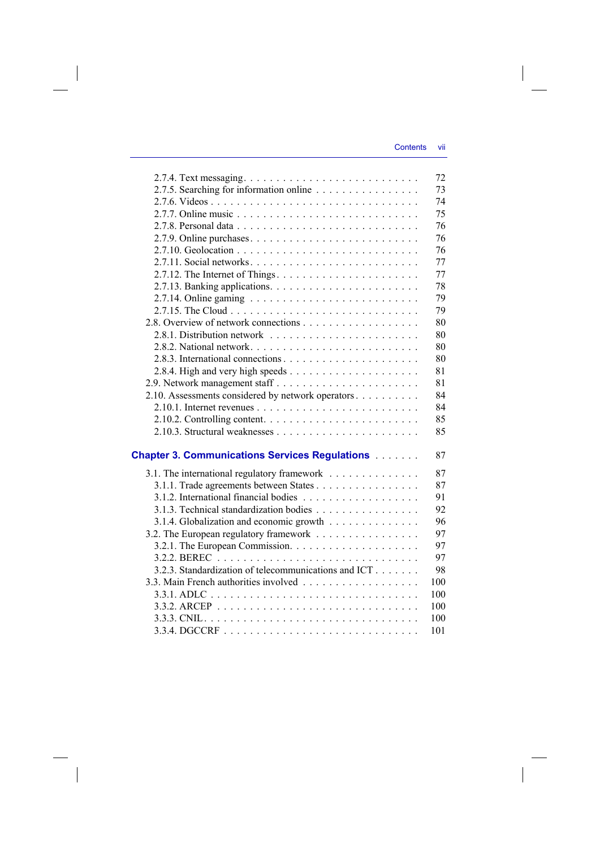|                                                                                 | 72  |
|---------------------------------------------------------------------------------|-----|
| 2.7.5. Searching for information online                                         | 73  |
|                                                                                 | 74  |
|                                                                                 | 75  |
|                                                                                 | 76  |
|                                                                                 | 76  |
|                                                                                 | 76  |
|                                                                                 | 77  |
|                                                                                 | 77  |
|                                                                                 | 78  |
| 2.7.14. Online gaming $\ldots \ldots \ldots \ldots \ldots \ldots \ldots \ldots$ | 79  |
|                                                                                 | 79  |
|                                                                                 | 80  |
|                                                                                 | 80  |
|                                                                                 | 80  |
|                                                                                 | 80  |
|                                                                                 | 81  |
|                                                                                 | 81  |
| 2.10. Assessments considered by network operators                               | 84  |
|                                                                                 | 84  |
|                                                                                 | 85  |
|                                                                                 | 85  |
| <b>Chapter 3. Communications Services Regulations</b>                           | 87  |
| 3.1. The international regulatory framework                                     | 87  |
| 3.1.1. Trade agreements between States                                          | 87  |
|                                                                                 | 91  |
| 3.1.3. Technical standardization bodies                                         | 92  |
| 3.1.4. Globalization and economic growth                                        | 96  |
| 3.2. The European regulatory framework                                          | 97  |
|                                                                                 | 97  |
|                                                                                 | 97  |
| 3.2.3. Standardization of telecommunications and ICT                            | 98  |
|                                                                                 | 100 |
|                                                                                 | 100 |
|                                                                                 | 100 |
|                                                                                 | 100 |
|                                                                                 | 101 |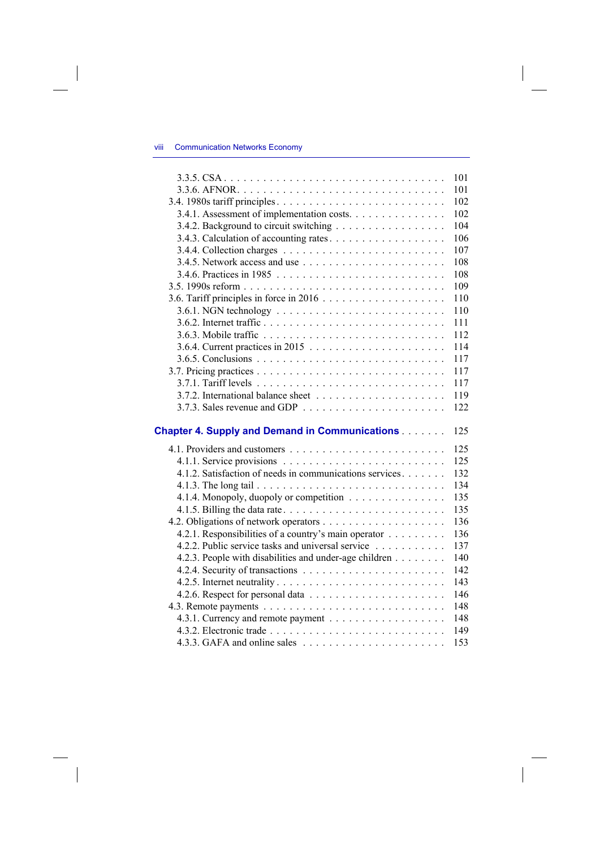## viii Communication Networks Economy

 $\overline{\phantom{a}}$ 

|                                                          | 101 |
|----------------------------------------------------------|-----|
|                                                          | 101 |
|                                                          | 102 |
| 3.4.1. Assessment of implementation costs.               | 102 |
| 3.4.2. Background to circuit switching                   | 104 |
|                                                          | 106 |
|                                                          | 107 |
|                                                          | 108 |
|                                                          | 108 |
|                                                          | 109 |
|                                                          | 110 |
|                                                          | 110 |
|                                                          | 111 |
|                                                          | 112 |
|                                                          | 114 |
|                                                          | 117 |
|                                                          | 117 |
|                                                          | 117 |
|                                                          | 119 |
|                                                          | 122 |
|                                                          |     |
| <b>Chapter 4. Supply and Demand in Communications</b>    | 125 |
|                                                          | 125 |
|                                                          | 125 |
| 4.1.2. Satisfaction of needs in communications services. | 132 |
|                                                          | 134 |
| 4.1.4. Monopoly, duopoly or competition                  | 135 |
|                                                          | 135 |
|                                                          | 136 |
| 4.2.1. Responsibilities of a country's main operator     | 136 |
| 4.2.2. Public service tasks and universal service        | 137 |
| 4.2.3. People with disabilities and under-age children   | 140 |
|                                                          | 142 |
|                                                          | 143 |
|                                                          | 146 |
|                                                          | 148 |
|                                                          | 148 |
|                                                          | 149 |
|                                                          | 153 |
|                                                          |     |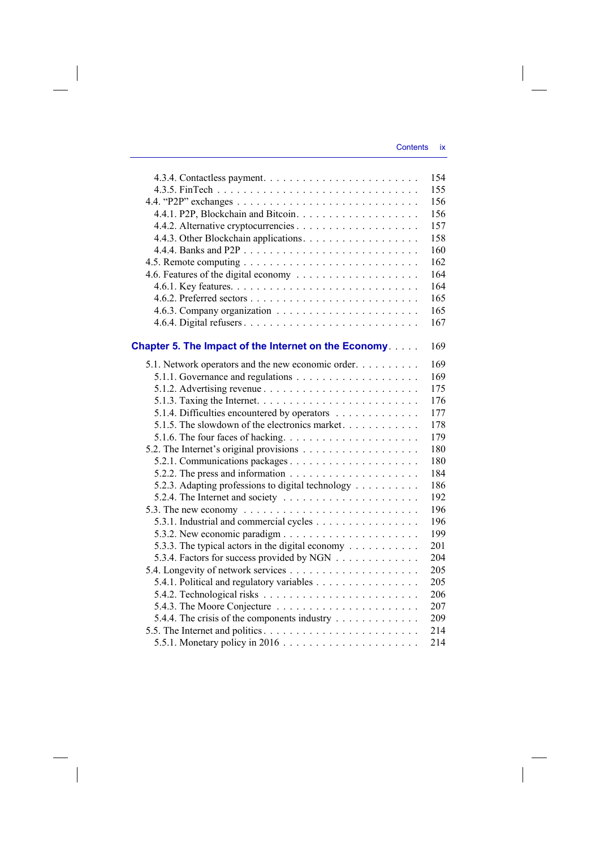|                                                                                   | 154 |
|-----------------------------------------------------------------------------------|-----|
|                                                                                   | 155 |
|                                                                                   | 156 |
|                                                                                   | 156 |
|                                                                                   | 157 |
| 4.4.3. Other Blockchain applications.                                             | 158 |
|                                                                                   | 160 |
|                                                                                   | 162 |
|                                                                                   | 164 |
|                                                                                   | 164 |
|                                                                                   | 165 |
|                                                                                   | 165 |
|                                                                                   | 167 |
| Chapter 5. The Impact of the Internet on the Economy.                             | 169 |
| 5.1. Network operators and the new economic order.                                | 169 |
|                                                                                   | 169 |
|                                                                                   | 175 |
|                                                                                   | 176 |
| 5.1.4. Difficulties encountered by operators                                      | 177 |
| 5.1.5. The slowdown of the electronics market.                                    | 178 |
| 5.1.6. The four faces of hacking. $\dots \dots \dots \dots \dots \dots \dots$     | 179 |
|                                                                                   | 180 |
|                                                                                   | 180 |
| 5.2.2. The press and information $\dots \dots \dots \dots \dots \dots \dots$      | 184 |
| 5.2.3. Adapting professions to digital technology                                 | 186 |
| 5.2.4. The Internet and society $\dots \dots \dots \dots \dots \dots \dots \dots$ | 192 |
| 5.3. The new economy $\ldots \ldots \ldots \ldots \ldots \ldots \ldots \ldots$    | 196 |
| 5.3.1. Industrial and commercial cycles                                           | 196 |
|                                                                                   | 199 |
| 5.3.3. The typical actors in the digital economy $\dots \dots \dots$              | 201 |
| 5.3.4. Factors for success provided by NGN                                        | 204 |
|                                                                                   | 205 |
| 5.4.1. Political and regulatory variables                                         | 205 |
|                                                                                   | 206 |
|                                                                                   | 207 |
| 5.4.4. The crisis of the components industry                                      | 209 |
|                                                                                   | 214 |
|                                                                                   | 214 |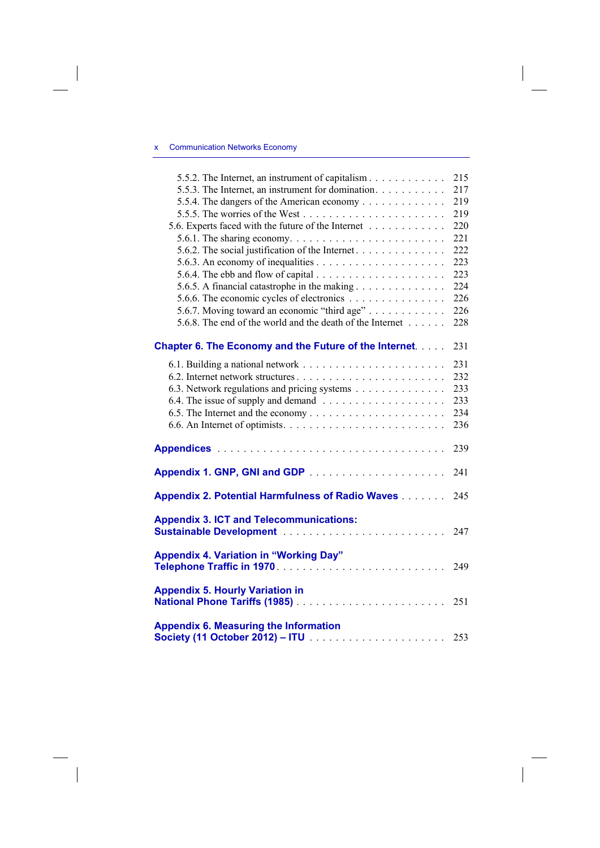## x Communication Networks Economy

 $\overline{\phantom{a}}$ 

| 5.5.2. The Internet, an instrument of capitalism                                    | 215 |
|-------------------------------------------------------------------------------------|-----|
| 5.5.3. The Internet, an instrument for domination.                                  | 217 |
| 5.5.4. The dangers of the American economy                                          | 219 |
|                                                                                     | 219 |
| 5.6. Experts faced with the future of the Internet                                  | 220 |
| 5.6.1. The sharing economy. $\dots \dots \dots \dots \dots \dots \dots \dots \dots$ | 221 |
| 5.6.2. The social justification of the Internet.                                    | 222 |
|                                                                                     | 223 |
|                                                                                     | 223 |
|                                                                                     | 224 |
| 5.6.6. The economic cycles of electronics                                           | 226 |
| 5.6.7. Moving toward an economic "third age"                                        | 226 |
| 5.6.8. The end of the world and the death of the Internet                           | 228 |
|                                                                                     |     |
| <b>Chapter 6. The Economy and the Future of the Internet</b>                        | 231 |
|                                                                                     | 231 |
| 6.2. Internet network structures                                                    | 232 |
| 6.3. Network regulations and pricing systems                                        | 233 |
|                                                                                     | 233 |
|                                                                                     | 234 |
|                                                                                     | 236 |
|                                                                                     |     |
|                                                                                     | 239 |
|                                                                                     |     |
|                                                                                     | 241 |
| <b>Appendix 2. Potential Harmfulness of Radio Waves</b>                             | 245 |
|                                                                                     |     |
| <b>Appendix 3. ICT and Telecommunications:</b>                                      |     |
|                                                                                     | 247 |
| <b>Appendix 4. Variation in "Working Day"</b>                                       |     |
|                                                                                     | 249 |
|                                                                                     |     |
| <b>Appendix 5. Hourly Variation in</b>                                              |     |
| National Phone Tariffs (1985)                                                       | 251 |
| <b>Appendix 6. Measuring the Information</b>                                        |     |
|                                                                                     |     |
|                                                                                     |     |